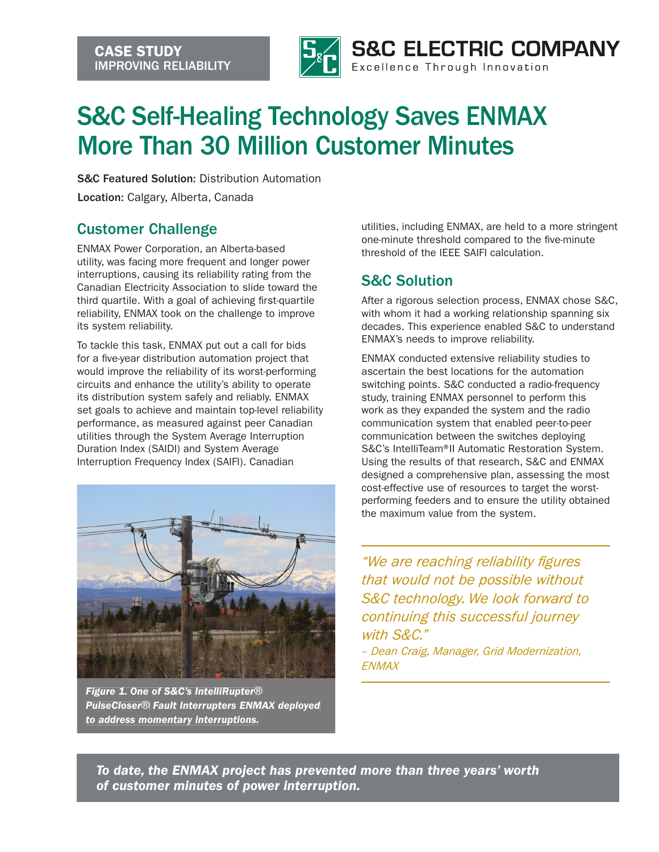

## S&C Self-Healing Technology Saves ENMAX More Than 30 Million Customer Minutes

S&C Featured Solution: Distribution Automation

Location: Calgary, Alberta, Canada

## Customer Challenge

ENMAX Power Corporation, an Alberta-based utility, was facing more frequent and longer power interruptions, causing its reliability rating from the Canadian Electricity Association to slide toward the third quartile. With a goal of achieving first-quartile reliability, ENMAX took on the challenge to improve its system reliability.

To tackle this task, ENMAX put out a call for bids for a five-year distribution automation project that would improve the reliability of its worst-performing circuits and enhance the utility's ability to operate its distribution system safely and reliably. ENMAX set goals to achieve and maintain top-level reliability performance, as measured against peer Canadian utilities through the System Average Interruption Duration Index (SAIDI) and System Average Interruption Frequency Index (SAIFI). Canadian



*Figure 1. One of S&C's IntelliRupter*® *PulseCloser*® *Fault Interrupters ENMAX deployed to address momentary interruptions.*

utilities, including ENMAX, are held to a more stringent one-minute threshold compared to the five-minute threshold of the IEEE SAIFI calculation.

## S&C Solution

After a rigorous selection process, ENMAX chose S&C, with whom it had a working relationship spanning six decades. This experience enabled S&C to understand ENMAX's needs to improve reliability.

ENMAX conducted extensive reliability studies to ascertain the best locations for the automation switching points. S&C conducted a radio-frequency study, training ENMAX personnel to perform this work as they expanded the system and the radio communication system that enabled peer-to-peer communication between the switches deploying S&C's IntelliTeam® II Automatic Restoration System. Using the results of that research, S&C and ENMAX designed a comprehensive plan, assessing the most cost-effective use of resources to target the worstperforming feeders and to ensure the utility obtained the maximum value from the system.

*"We are reaching reliability gures that would not be possible without S&C technology. We look forward to continuing this successful journey with S&C."*

*– Dean Craig, Manager, Grid Modernization, ENMAX*

*To date, the ENMAX project has prevented more than three years' worth of customer minutes of power interruption.*